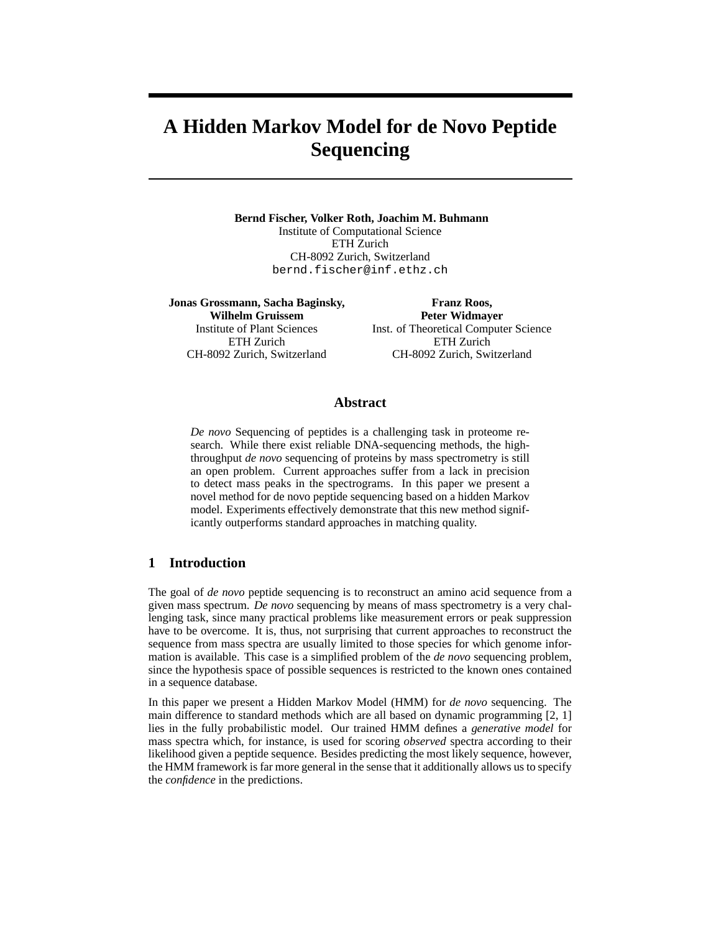# **A Hidden Markov Model for de Novo Peptide Sequencing**

**Bernd Fischer, Volker Roth, Joachim M. Buhmann** Institute of Computational Science ETH Zurich CH-8092 Zurich, Switzerland bernd.fischer@inf.ethz.ch

**Jonas Grossmann, Sacha Baginsky, Wilhelm Gruissem** Institute of Plant Sciences ETH Zurich CH-8092 Zurich, Switzerland

**Franz Roos, Peter Widmayer** Inst. of Theoretical Computer Science ETH Zurich CH-8092 Zurich, Switzerland

# **Abstract**

*De novo* Sequencing of peptides is a challenging task in proteome research. While there exist reliable DNA-sequencing methods, the highthroughput *de novo* sequencing of proteins by mass spectrometry is still an open problem. Current approaches suffer from a lack in precision to detect mass peaks in the spectrograms. In this paper we present a novel method for de novo peptide sequencing based on a hidden Markov model. Experiments effectively demonstrate that this new method significantly outperforms standard approaches in matching quality.

# **1 Introduction**

The goal of *de novo* peptide sequencing is to reconstruct an amino acid sequence from a given mass spectrum. *De novo* sequencing by means of mass spectrometry is a very challenging task, since many practical problems like measurement errors or peak suppression have to be overcome. It is, thus, not surprising that current approaches to reconstruct the sequence from mass spectra are usually limited to those species for which genome information is available. This case is a simplified problem of the *de novo* sequencing problem, since the hypothesis space of possible sequences is restricted to the known ones contained in a sequence database.

In this paper we present a Hidden Markov Model (HMM) for *de novo* sequencing. The main difference to standard methods which are all based on dynamic programming [2, 1] lies in the fully probabilistic model. Our trained HMM defines a *generative model* for mass spectra which, for instance, is used for scoring *observed* spectra according to their likelihood given a peptide sequence. Besides predicting the most likely sequence, however, the HMM framework is far more general in the sense that it additionally allows us to specify the *confidence* in the predictions.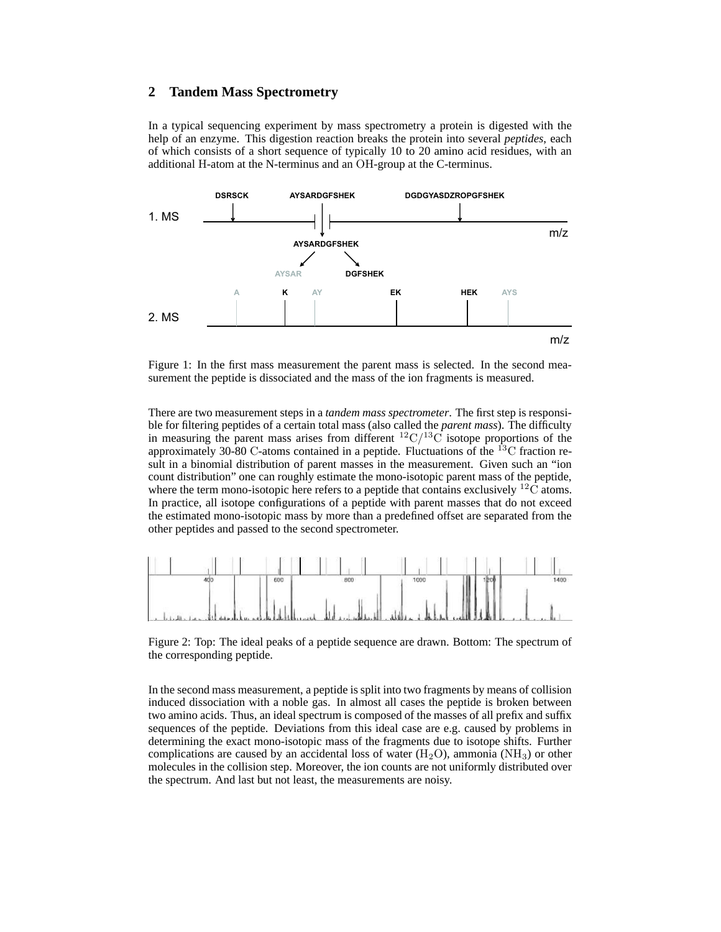## **2 Tandem Mass Spectrometry**

In a typical sequencing experiment by mass spectrometry a protein is digested with the help of an enzyme. This digestion reaction breaks the protein into several *peptides*, each of which consists of a short sequence of typically 10 to 20 amino acid residues, with an additional H-atom at the N-terminus and an OH-group at the C-terminus.



Figure 1: In the first mass measurement the parent mass is selected. In the second measurement the peptide is dissociated and the mass of the ion fragments is measured.

There are two measurement steps in a *tandem mass spectrometer*. The first step is responsible for filtering peptides of a certain total mass (also called the *parent mass*). The difficulty in measuring the parent mass arises from different  ${}^{12}C/{}^{13}C$  isotope proportions of the approximately 30-80 C-atoms contained in a peptide. Fluctuations of the  $^{13}$ C fraction result in a binomial distribution of parent masses in the measurement. Given such an "ion count distribution" one can roughly estimate the mono-isotopic parent mass of the peptide, where the term mono-isotopic here refers to a peptide that contains exclusively  $^{12}$ C atoms. In practice, all isotope configurations of a peptide with parent masses that do not exceed the estimated mono-isotopic mass by more than a predefined offset are separated from the other peptides and passed to the second spectrometer.



Figure 2: Top: The ideal peaks of a peptide sequence are drawn. Bottom: The spectrum of the corresponding peptide.

In the second mass measurement, a peptide is split into two fragments by means of collision induced dissociation with a noble gas. In almost all cases the peptide is broken between two amino acids. Thus, an ideal spectrum is composed of the masses of all prefix and suffix sequences of the peptide. Deviations from this ideal case are e.g. caused by problems in determining the exact mono-isotopic mass of the fragments due to isotope shifts. Further complications are caused by an accidental loss of water  $(H_2O)$ , ammonia  $(NH_3)$  or other molecules in the collision step. Moreover, the ion counts are not uniformly distributed over the spectrum. And last but not least, the measurements are noisy.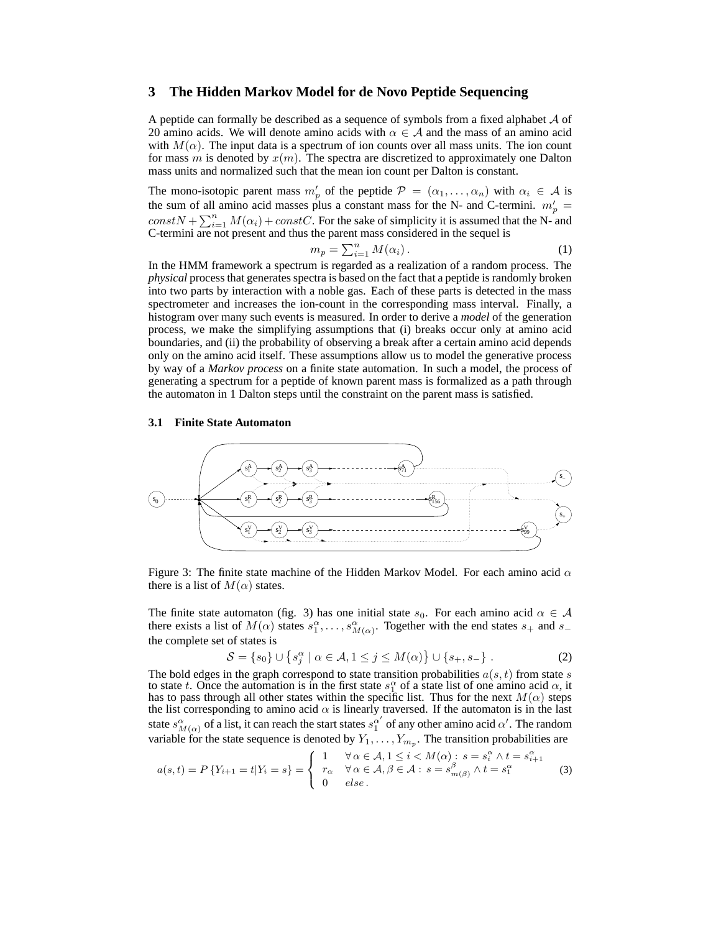## **3 The Hidden Markov Model for de Novo Peptide Sequencing**

A peptide can formally be described as a sequence of symbols from a fixed alphabet  $A$  of 20 amino acids. We will denote amino acids with  $\alpha \in A$  and the mass of an amino acid with  $M(\alpha)$ . The input data is a spectrum of ion counts over all mass units. The ion count for mass m is denoted by  $x(m)$ . The spectra are discretized to approximately one Dalton mass units and normalized such that the mean ion count per Dalton is constant.

The mono-isotopic parent mass  $m'_p$  of the peptide  $\mathcal{P} = (\alpha_1, \dots, \alpha_n)$  with  $\alpha_i \in \mathcal{A}$  is the sum of all amino acid masses plus a constant mass for the N- and C-termini.  $m'_p =$  $constN + \sum_{i=1}^{n} M(\alpha_i) + constC$ . For the sake of simplicity it is assumed that the N- and C-termini are not present and thus the parent mass considered in the sequel is

$$
m_p = \sum_{i=1}^n M(\alpha_i).
$$
 (1)

In the HMM framework a spectrum is regarded as a realization of a random process. The *physical* process that generates spectra is based on the fact that a peptide is randomly broken into two parts by interaction with a noble gas. Each of these parts is detected in the mass spectrometer and increases the ion-count in the corresponding mass interval. Finally, a histogram over many such events is measured. In order to derive a *model* of the generation process, we make the simplifying assumptions that (i) breaks occur only at amino acid boundaries, and (ii) the probability of observing a break after a certain amino acid depends only on the amino acid itself. These assumptions allow us to model the generative process by way of a *Markov process* on a finite state automation. In such a model, the process of generating a spectrum for a peptide of known parent mass is formalized as a path through the automaton in 1 Dalton steps until the constraint on the parent mass is satisfied.

#### **3.1 Finite State Automaton**



Figure 3: The finite state machine of the Hidden Markov Model. For each amino acid  $\alpha$ there is a list of  $M(\alpha)$  states.

The finite state automaton (fig. 3) has one initial state  $s_0$ . For each amino acid  $\alpha \in \mathcal{A}$ there exists a list of  $M(\alpha)$  states  $s_1^{\alpha}, \ldots, s_{M(\alpha)}^{\alpha}$ . Together with the end states  $s_+$  and  $s_$ the complete set of states is

$$
S = \{s_0\} \cup \{s_j^{\alpha} \mid \alpha \in A, 1 \le j \le M(\alpha)\} \cup \{s_+, s_-\}.
$$
 (2)

The bold edges in the graph correspond to state transition probabilities  $a(s, t)$  from state  $s$ to state t. Once the automation is in the first state  $s_1^{\alpha}$  of a state list of one amino acid  $\alpha$ , it has to pass through all other states within the specific list. Thus for the next  $M(\alpha)$  steps the list corresponding to amino acid  $\alpha$  is linearly traversed. If the automaton is in the last state  $s^{\alpha}_{M(\alpha)}$  of a list, it can reach the start states  $s_1^{\alpha'}$  of any other amino acid  $\alpha'$ . The random variable for the state sequence is denoted by  $Y_1, \ldots, Y_{m_p}$ . The transition probabilities are

$$
a(s,t) = P\{Y_{i+1} = t | Y_i = s\} = \begin{cases} 1 & \forall \alpha \in \mathcal{A}, 1 \le i < M(\alpha): s = s_i^\alpha \land t = s_{i+1}^\alpha \\ r_\alpha & \forall \alpha \in \mathcal{A}, \beta \in \mathcal{A}: s = s_{m(\beta)}^\beta \land t = s_1^\alpha \\ 0 & \text{else.} \end{cases} \tag{3}
$$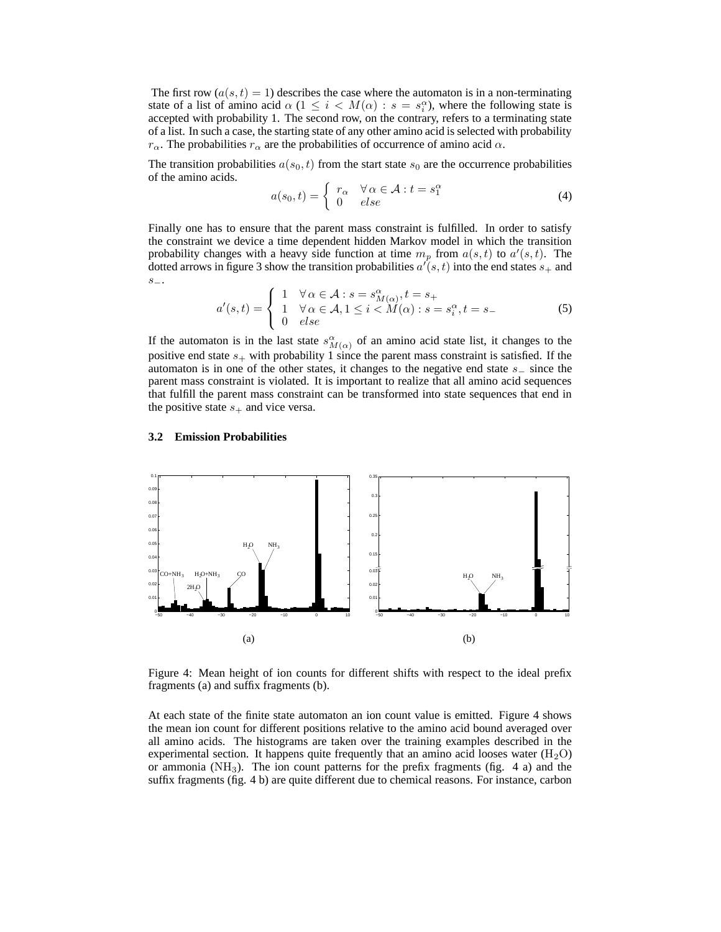The first row  $(a(s, t) = 1)$  describes the case where the automaton is in a non-terminating state of a list of amino acid  $\alpha$  (1  $\leq i$  <  $M(\alpha)$  :  $s = s_i^{\alpha}$ ), where the following state is accepted with probability 1. The second row, on the contrary, refers to a terminating state of a list. In such a case, the starting state of any other amino acid is selected with probability  $r_{\alpha}$ . The probabilities  $r_{\alpha}$  are the probabilities of occurrence of amino acid  $\alpha$ .

The transition probabilities  $a(s_0, t)$  from the start state  $s_0$  are the occurrence probabilities of the amino acids.

$$
a(s_0, t) = \begin{cases} r_\alpha & \forall \alpha \in \mathcal{A} : t = s_1^\alpha \\ 0 & else \end{cases}
$$
 (4)

Finally one has to ensure that the parent mass constraint is fulfilled. In order to satisfy the constraint we device a time dependent hidden Markov model in which the transition probability changes with a heavy side function at time  $m_p$  from  $a(s,t)$  to  $a'(s,t)$ . The dotted arrows in figure 3 show the transition probabilities  $a'(s,t)$  into the end states  $s_+$  and s−.

$$
a'(s,t) = \begin{cases} 1 & \forall \alpha \in \mathcal{A} : s = s_{M(\alpha)}^{\alpha}, t = s_+ \\ 1 & \forall \alpha \in \mathcal{A}, 1 \le i < M(\alpha) : s = s_i^{\alpha}, t = s_- \\ 0 & else \end{cases} \tag{5}
$$

If the automaton is in the last state  $s^{\alpha}_{M(\alpha)}$  of an amino acid state list, it changes to the positive end state  $s_{+}$  with probability 1 since the parent mass constraint is satisfied. If the automaton is in one of the other states, it changes to the negative end state s<sup>−</sup> since the parent mass constraint is violated. It is important to realize that all amino acid sequences that fulfill the parent mass constraint can be transformed into state sequences that end in the positive state  $s_+$  and vice versa.

#### **3.2 Emission Probabilities**



Figure 4: Mean height of ion counts for different shifts with respect to the ideal prefix fragments (a) and suffix fragments (b).

At each state of the finite state automaton an ion count value is emitted. Figure 4 shows the mean ion count for different positions relative to the amino acid bound averaged over all amino acids. The histograms are taken over the training examples described in the experimental section. It happens quite frequently that an amino acid looses water  $(H_2O)$ or ammonia  $(NH_3)$ . The ion count patterns for the prefix fragments (fig. 4 a) and the suffix fragments (fig. 4 b) are quite different due to chemical reasons. For instance, carbon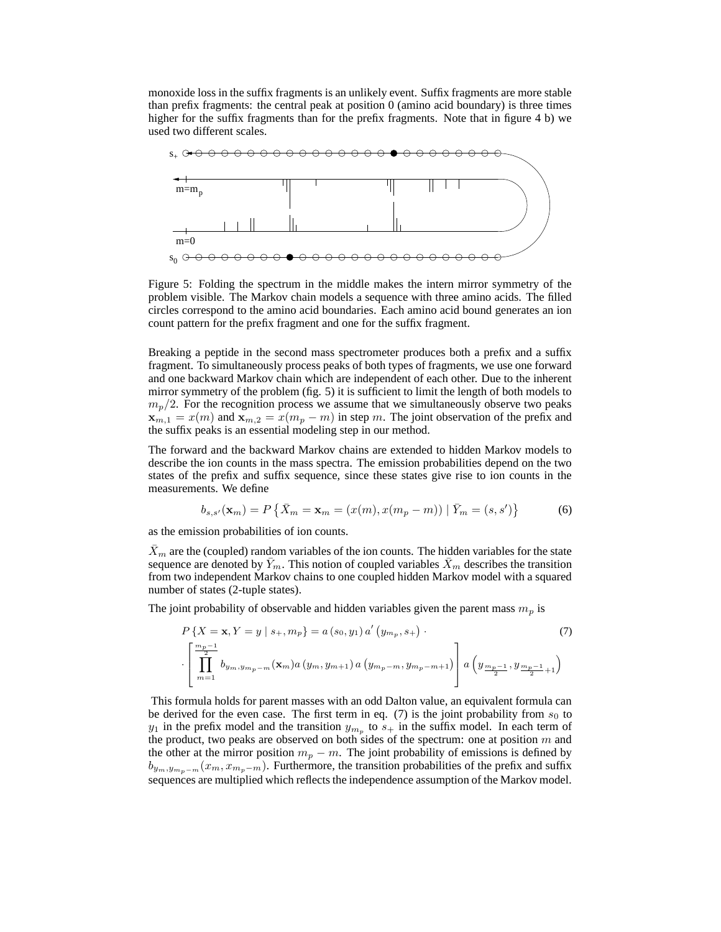monoxide loss in the suffix fragments is an unlikely event. Suffix fragments are more stable than prefix fragments: the central peak at position  $0$  (amino acid boundary) is three times higher for the suffix fragments than for the prefix fragments. Note that in figure 4 b) we used two different scales.



Figure 5: Folding the spectrum in the middle makes the intern mirror symmetry of the problem visible. The Markov chain models a sequence with three amino acids. The filled circles correspond to the amino acid boundaries. Each amino acid bound generates an ion count pattern for the prefix fragment and one for the suffix fragment.

Breaking a peptide in the second mass spectrometer produces both a prefix and a suffix fragment. To simultaneously process peaks of both types of fragments, we use one forward and one backward Markov chain which are independent of each other. Due to the inherent mirror symmetry of the problem (fig. 5) it is sufficient to limit the length of both models to  $m_p/2$ . For the recognition process we assume that we simultaneously observe two peaks  $x_{m,1} = x(m)$  and  $x_{m,2} = x(m_p - m)$  in step m. The joint observation of the prefix and the suffix peaks is an essential modeling step in our method.

The forward and the backward Markov chains are extended to hidden Markov models to describe the ion counts in the mass spectra. The emission probabilities depend on the two states of the prefix and suffix sequence, since these states give rise to ion counts in the measurements. We define

$$
b_{s,s'}(\mathbf{x}_m) = P\left\{ \bar{X}_m = \mathbf{x}_m = (x(m), x(m_p - m)) \mid \bar{Y}_m = (s, s') \right\}
$$
(6)

as the emission probabilities of ion counts.

 $X<sub>m</sub>$  are the (coupled) random variables of the ion counts. The hidden variables for the state sequence are denoted by  $\bar{Y}_m$ . This notion of coupled variables  $\bar{X}_m$  describes the transition from two independent Markov chains to one coupled hidden Markov model with a squared number of states (2-tuple states).

The joint probability of observable and hidden variables given the parent mass  $m_p$  is

$$
P\left\{X = \mathbf{x}, Y = y \mid s_{+}, m_{p}\right\} = a\left(s_{0}, y_{1}\right) a'\left(y_{m_{p}}, s_{+}\right).
$$
\n
$$
\left[\prod_{m=1}^{\frac{m_{p}-1}{2}} b_{y_{m}, y_{m_{p}-m}}(\mathbf{x}_{m}) a\left(y_{m}, y_{m+1}\right) a\left(y_{m_{p}-m}, y_{m_{p}-m+1}\right)\right] a\left(y_{\frac{m_{p}-1}{2}}, y_{\frac{m_{p}-1}{2}+1}\right).
$$
\n(7)

This formula holds for parent masses with an odd Dalton value, an equivalent formula can be derived for the even case. The first term in eq. (7) is the joint probability from  $s_0$  to  $y_1$  in the prefix model and the transition  $y_{m_p}$  to  $s_+$  in the suffix model. In each term of the product, two peaks are observed on both sides of the spectrum: one at position  $m$  and the other at the mirror position  $m_p - m$ . The joint probability of emissions is defined by  $b_{y_m,y_{m_n-m}}(x_m, x_{m_p-m})$ . Furthermore, the transition probabilities of the prefix and suffix sequences are multiplied which reflects the independence assumption of the Markov model.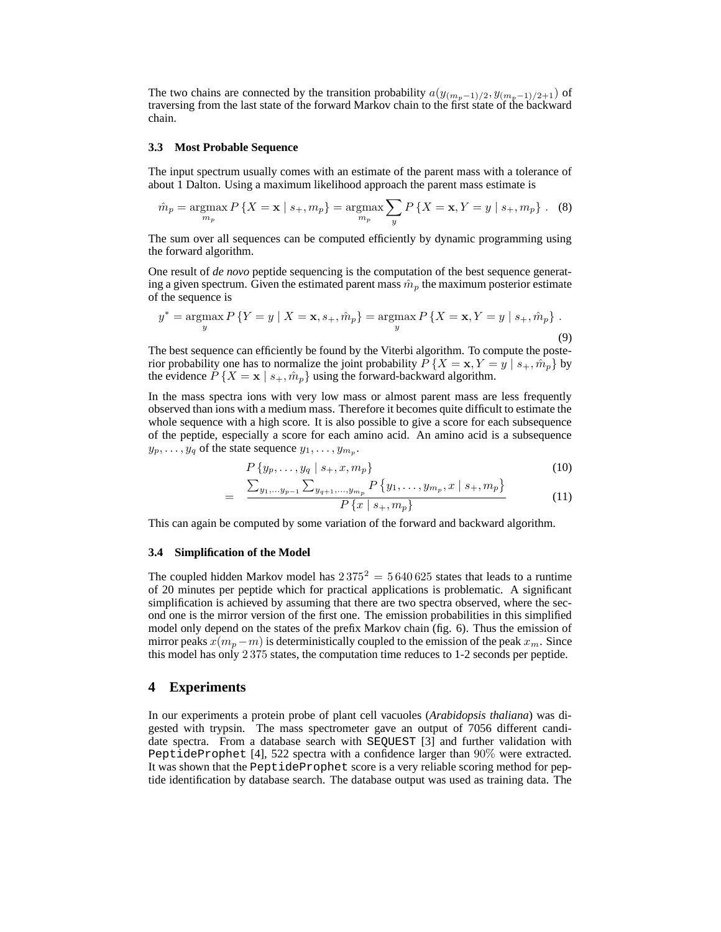The two chains are connected by the transition probability  $a(y_{(m_p-1)/2}, y_{(m_p-1)/2+1})$  of traversing from the last state of the forward Markov chain to the first state of the backward chain.

#### **3.3 Most Probable Sequence**

The input spectrum usually comes with an estimate of the parent mass with a tolerance of about 1 Dalton. Using a maximum likelihood approach the parent mass estimate is

$$
\hat{m}_p = \underset{m_p}{\text{argmax}} \, P\left\{ X = \mathbf{x} \mid s_+, m_p \right\} = \underset{m_p}{\text{argmax}} \sum_y P\left\{ X = \mathbf{x}, Y = y \mid s_+, m_p \right\} \, . \tag{8}
$$

The sum over all sequences can be computed efficiently by dynamic programming using the forward algorithm.

One result of *de novo* peptide sequencing is the computation of the best sequence generating a given spectrum. Given the estimated parent mass  $\hat{m}_p$  the maximum posterior estimate of the sequence is

$$
y^* = \underset{y}{\text{argmax}} P\{Y = y \mid X = \mathbf{x}, s_+, \hat{m}_p\} = \underset{y}{\text{argmax}} P\{X = \mathbf{x}, Y = y \mid s_+, \hat{m}_p\}.
$$
\n(9)

The best sequence can efficiently be found by the Viterbi algorithm. To compute the posterior probability one has to normalize the joint probability  $P\{X = x, Y = y \mid s_+, \hat{m}_p\}$  by the evidence  $P\{X = \mathbf{x} \mid s_+, \hat{m}_p\}$  using the forward-backward algorithm.

In the mass spectra ions with very low mass or almost parent mass are less frequently observed than ions with a medium mass. Therefore it becomes quite difficult to estimate the whole sequence with a high score. It is also possible to give a score for each subsequence of the peptide, especially a score for each amino acid. An amino acid is a subsequence  $y_p, \ldots, y_q$  of the state sequence  $y_1, \ldots, y_{m_p}$ .

$$
P\{y_p,\ldots,y_q \mid s_+,x,m_p\} \tag{10}
$$

$$
\frac{\sum_{y_1,\dots y_{p-1}} \sum_{y_{q+1},\dots,y_{m_p}} P\left\{y_1,\dots,y_{m_p}, x \mid s_+, m_p\right\}}{P\left\{x \mid s_+, m_p\right\}}
$$
(11)

This can again be computed by some variation of the forward and backward algorithm.

#### **3.4 Simplification of the Model**

=

The coupled hidden Markov model has  $2375^2 = 5640625$  states that leads to a runtime of 20 minutes per peptide which for practical applications is problematic. A significant simplification is achieved by assuming that there are two spectra observed, where the second one is the mirror version of the first one. The emission probabilities in this simplified model only depend on the states of the prefix Markov chain (fig. 6). Thus the emission of mirror peaks  $x(m_p-m)$  is deterministically coupled to the emission of the peak  $x_m$ . Since this model has only 2 375 states, the computation time reduces to 1-2 seconds per peptide.

## **4 Experiments**

In our experiments a protein probe of plant cell vacuoles (*Arabidopsis thaliana*) was digested with trypsin. The mass spectrometer gave an output of 7056 different candidate spectra. From a database search with SEQUEST [3] and further validation with PeptideProphet [4], 522 spectra with a confidence larger than 90% were extracted. It was shown that the PeptideProphet score is a very reliable scoring method for peptide identification by database search. The database output was used as training data. The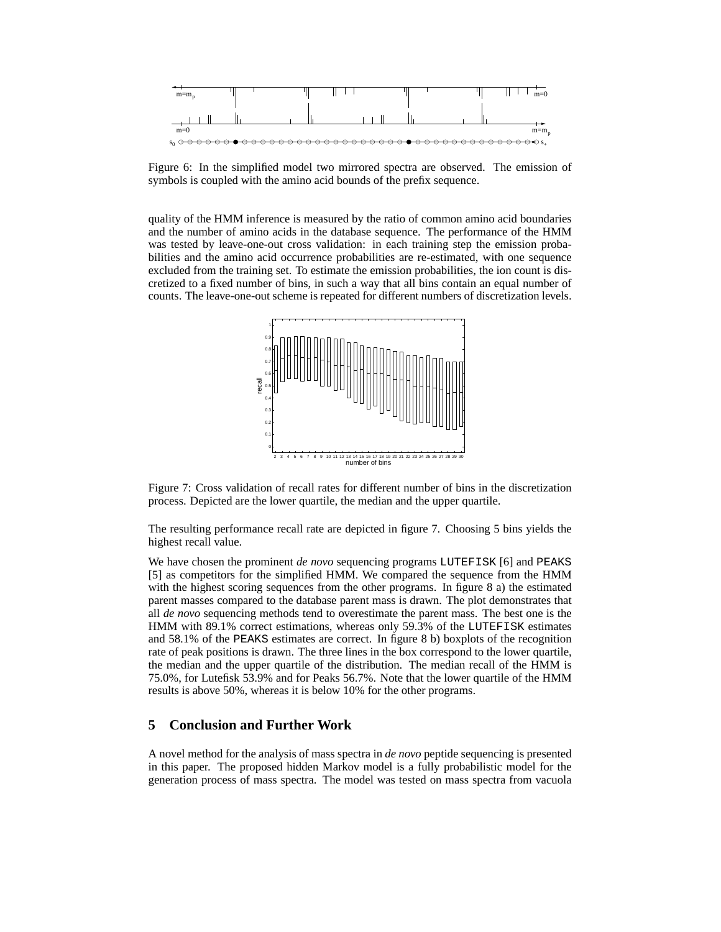

Figure 6: In the simplified model two mirrored spectra are observed. The emission of symbols is coupled with the amino acid bounds of the prefix sequence.

quality of the HMM inference is measured by the ratio of common amino acid boundaries and the number of amino acids in the database sequence. The performance of the HMM was tested by leave-one-out cross validation: in each training step the emission probabilities and the amino acid occurrence probabilities are re-estimated, with one sequence excluded from the training set. To estimate the emission probabilities, the ion count is discretized to a fixed number of bins, in such a way that all bins contain an equal number of counts. The leave-one-out scheme is repeated for different numbers of discretization levels.



Figure 7: Cross validation of recall rates for different number of bins in the discretization process. Depicted are the lower quartile, the median and the upper quartile.

The resulting performance recall rate are depicted in figure 7. Choosing 5 bins yields the highest recall value.

We have chosen the prominent *de novo* sequencing programs LUTEFISK [6] and PEAKS [5] as competitors for the simplified HMM. We compared the sequence from the HMM with the highest scoring sequences from the other programs. In figure 8 a) the estimated parent masses compared to the database parent mass is drawn. The plot demonstrates that all *de novo* sequencing methods tend to overestimate the parent mass. The best one is the HMM with 89.1% correct estimations, whereas only 59.3% of the LUTEFISK estimates and 58.1% of the PEAKS estimates are correct. In figure 8 b) boxplots of the recognition rate of peak positions is drawn. The three lines in the box correspond to the lower quartile, the median and the upper quartile of the distribution. The median recall of the HMM is 75.0%, for Lutefisk 53.9% and for Peaks 56.7%. Note that the lower quartile of the HMM results is above 50%, whereas it is below 10% for the other programs.

# **5 Conclusion and Further Work**

A novel method for the analysis of mass spectra in *de novo* peptide sequencing is presented in this paper. The proposed hidden Markov model is a fully probabilistic model for the generation process of mass spectra. The model was tested on mass spectra from vacuola